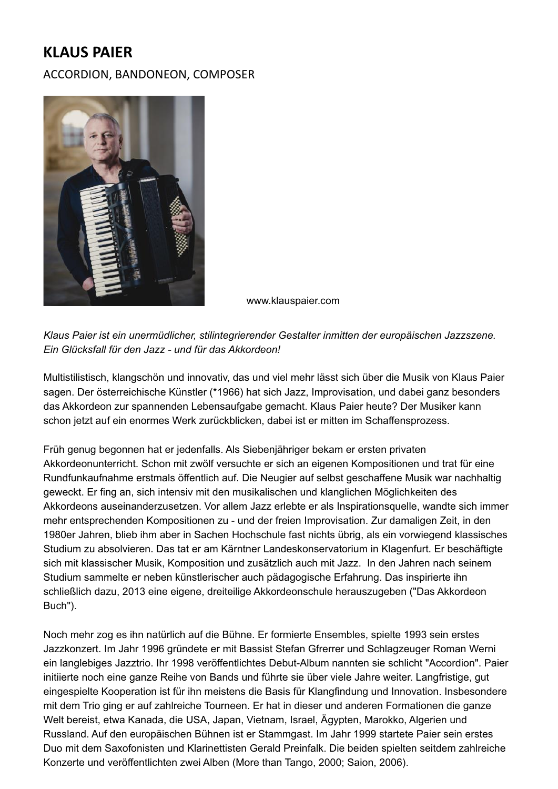## **KLAUS PAIER**

ACCORDION, BANDONEON, COMPOSER



www.klauspaier.com

*Klaus Paier ist ein unermüdlicher, stilintegrierender Gestalter inmitten der europäischen Jazzszene. Ein Glücksfall für den Jazz - und für das Akkordeon!*

Multistilistisch, klangschön und innovativ, das und viel mehr lässt sich über die Musik von Klaus Paier sagen. Der österreichische Künstler (\*1966) hat sich Jazz, Improvisation, und dabei ganz besonders das Akkordeon zur spannenden Lebensaufgabe gemacht. Klaus Paier heute? Der Musiker kann schon jetzt auf ein enormes Werk zurückblicken, dabei ist er mitten im Schaffensprozess.

Früh genug begonnen hat er jedenfalls. Als Siebenjähriger bekam er ersten privaten Akkordeonunterricht. Schon mit zwölf versuchte er sich an eigenen Kompositionen und trat für eine Rundfunkaufnahme erstmals öffentlich auf. Die Neugier auf selbst geschaffene Musik war nachhaltig geweckt. Er fing an, sich intensiv mit den musikalischen und klanglichen Möglichkeiten des Akkordeons auseinanderzusetzen. Vor allem Jazz erlebte er als Inspirationsquelle, wandte sich immer mehr entsprechenden Kompositionen zu - und der freien Improvisation. Zur damaligen Zeit, in den 1980er Jahren, blieb ihm aber in Sachen Hochschule fast nichts übrig, als ein vorwiegend klassisches Studium zu absolvieren. Das tat er am Kärntner Landeskonservatorium in Klagenfurt. Er beschäftigte sich mit klassischer Musik, Komposition und zusätzlich auch mit Jazz. In den Jahren nach seinem Studium sammelte er neben künstlerischer auch pädagogische Erfahrung. Das inspirierte ihn schließlich dazu, 2013 eine eigene, dreiteilige Akkordeonschule herauszugeben ("Das Akkordeon Buch").

Noch mehr zog es ihn natürlich auf die Bühne. Er formierte Ensembles, spielte 1993 sein erstes Jazzkonzert. Im Jahr 1996 gründete er mit Bassist Stefan Gfrerrer und Schlagzeuger Roman Werni ein langlebiges Jazztrio. Ihr 1998 veröffentlichtes Debut-Album nannten sie schlicht "Accordion". Paier initiierte noch eine ganze Reihe von Bands und führte sie über viele Jahre weiter. Langfristige, gut eingespielte Kooperation ist für ihn meistens die Basis für Klangfindung und Innovation. Insbesondere mit dem Trio ging er auf zahlreiche Tourneen. Er hat in dieser und anderen Formationen die ganze Welt bereist, etwa Kanada, die USA, Japan, Vietnam, Israel, Ägypten, Marokko, Algerien und Russland. Auf den europäischen Bühnen ist er Stammgast. Im Jahr 1999 startete Paier sein erstes Duo mit dem Saxofonisten und Klarinettisten Gerald Preinfalk. Die beiden spielten seitdem zahlreiche Konzerte und veröffentlichten zwei Alben (More than Tango, 2000; Saion, 2006).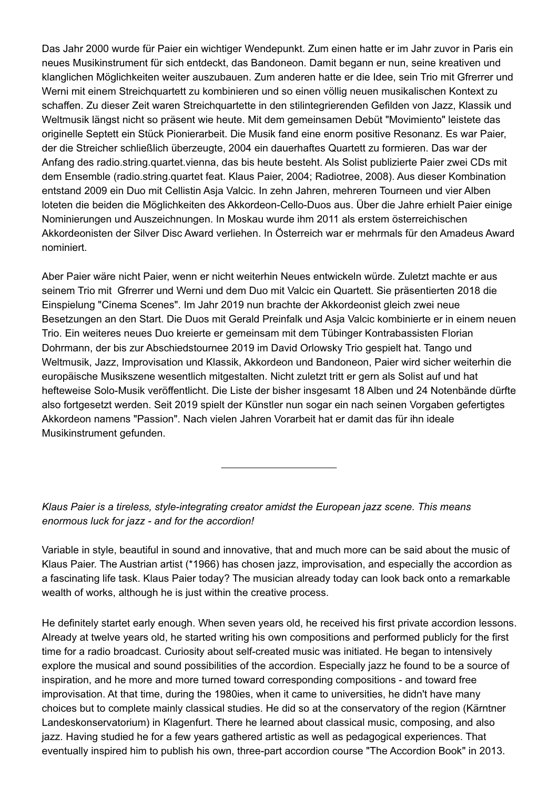Das Jahr 2000 wurde für Paier ein wichtiger Wendepunkt. Zum einen hatte er im Jahr zuvor in Paris ein neues Musikinstrument für sich entdeckt, das Bandoneon. Damit begann er nun, seine kreativen und klanglichen Möglichkeiten weiter auszubauen. Zum anderen hatte er die Idee, sein Trio mit Gfrerrer und Werni mit einem Streichquartett zu kombinieren und so einen völlig neuen musikalischen Kontext zu schaffen. Zu dieser Zeit waren Streichquartette in den stilintegrierenden Gefilden von Jazz, Klassik und Weltmusik längst nicht so präsent wie heute. Mit dem gemeinsamen Debüt "Movimiento" leistete das originelle Septett ein Stück Pionierarbeit. Die Musik fand eine enorm positive Resonanz. Es war Paier, der die Streicher schließlich überzeugte, 2004 ein dauerhaftes Quartett zu formieren. Das war der Anfang des radio.string.quartet.vienna, das bis heute besteht. Als Solist publizierte Paier zwei CDs mit dem Ensemble (radio.string.quartet feat. Klaus Paier, 2004; Radiotree, 2008). Aus dieser Kombination entstand 2009 ein Duo mit Cellistin Asja Valcic. In zehn Jahren, mehreren Tourneen und vier Alben loteten die beiden die Möglichkeiten des Akkordeon-Cello-Duos aus. Über die Jahre erhielt Paier einige Nominierungen und Auszeichnungen. In Moskau wurde ihm 2011 als erstem österreichischen Akkordeonisten der Silver Disc Award verliehen. In Österreich war er mehrmals für den Amadeus Award nominiert.

Aber Paier wäre nicht Paier, wenn er nicht weiterhin Neues entwickeln würde. Zuletzt machte er aus seinem Trio mit Gfrerrer und Werni und dem Duo mit Valcic ein Quartett. Sie präsentierten 2018 die Einspielung "Cinema Scenes". Im Jahr 2019 nun brachte der Akkordeonist gleich zwei neue Besetzungen an den Start. Die Duos mit Gerald Preinfalk und Asja Valcic kombinierte er in einem neuen Trio. Ein weiteres neues Duo kreierte er gemeinsam mit dem Tübinger Kontrabassisten Florian Dohrmann, der bis zur Abschiedstournee 2019 im David Orlowsky Trio gespielt hat. Tango und Weltmusik, Jazz, Improvisation und Klassik, Akkordeon und Bandoneon, Paier wird sicher weiterhin die europäische Musikszene wesentlich mitgestalten. Nicht zuletzt tritt er gern als Solist auf und hat hefteweise Solo-Musik veröffentlicht. Die Liste der bisher insgesamt 18 Alben und 24 Notenbände dürfte also fortgesetzt werden. Seit 2019 spielt der Künstler nun sogar ein nach seinen Vorgaben gefertigtes Akkordeon namens "Passion". Nach vielen Jahren Vorarbeit hat er damit das für ihn ideale Musikinstrument gefunden.

*Klaus Paier is a tireless, style-integrating creator amidst the European jazz scene. This means enormous luck for jazz - and for the accordion!*

Variable in style, beautiful in sound and innovative, that and much more can be said about the music of Klaus Paier. The Austrian artist (\*1966) has chosen jazz, improvisation, and especially the accordion as a fascinating life task. Klaus Paier today? The musician already today can look back onto a remarkable wealth of works, although he is just within the creative process.

He definitely startet early enough. When seven years old, he received his first private accordion lessons. Already at twelve years old, he started writing his own compositions and performed publicly for the first time for a radio broadcast. Curiosity about self-created music was initiated. He began to intensively explore the musical and sound possibilities of the accordion. Especially jazz he found to be a source of inspiration, and he more and more turned toward corresponding compositions - and toward free improvisation. At that time, during the 1980ies, when it came to universities, he didn't have many choices but to complete mainly classical studies. He did so at the conservatory of the region (Kärntner Landeskonservatorium) in Klagenfurt. There he learned about classical music, composing, and also jazz. Having studied he for a few years gathered artistic as well as pedagogical experiences. That eventually inspired him to publish his own, three-part accordion course "The Accordion Book" in 2013.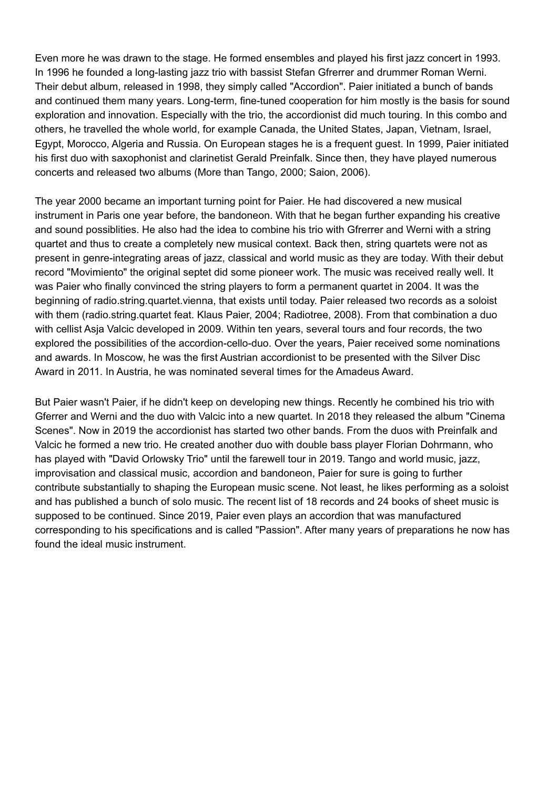Even more he was drawn to the stage. He formed ensembles and played his first jazz concert in 1993. In 1996 he founded a long-lasting jazz trio with bassist Stefan Gfrerrer and drummer Roman Werni. Their debut album, released in 1998, they simply called "Accordion". Paier initiated a bunch of bands and continued them many years. Long-term, fine-tuned cooperation for him mostly is the basis for sound exploration and innovation. Especially with the trio, the accordionist did much touring. In this combo and others, he travelled the whole world, for example Canada, the United States, Japan, Vietnam, Israel, Egypt, Morocco, Algeria and Russia. On European stages he is a frequent guest. In 1999, Paier initiated his first duo with saxophonist and clarinetist Gerald Preinfalk. Since then, they have played numerous concerts and released two albums (More than Tango, 2000; Saion, 2006).

The year 2000 became an important turning point for Paier. He had discovered a new musical instrument in Paris one year before, the bandoneon. With that he began further expanding his creative and sound possiblities. He also had the idea to combine his trio with Gfrerrer and Werni with a string quartet and thus to create a completely new musical context. Back then, string quartets were not as present in genre-integrating areas of jazz, classical and world music as they are today. With their debut record "Movimiento" the original septet did some pioneer work. The music was received really well. It was Paier who finally convinced the string players to form a permanent quartet in 2004. It was the beginning of radio.string.quartet.vienna, that exists until today. Paier released two records as a soloist with them (radio.string.quartet feat. Klaus Paier, 2004; Radiotree, 2008). From that combination a duo with cellist Asja Valcic developed in 2009. Within ten years, several tours and four records, the two explored the possibilities of the accordion-cello-duo. Over the years, Paier received some nominations and awards. In Moscow, he was the first Austrian accordionist to be presented with the Silver Disc Award in 2011. In Austria, he was nominated several times for the Amadeus Award.

But Paier wasn't Paier, if he didn't keep on developing new things. Recently he combined his trio with Gferrer and Werni and the duo with Valcic into a new quartet. In 2018 they released the album "Cinema Scenes". Now in 2019 the accordionist has started two other bands. From the duos with Preinfalk and Valcic he formed a new trio. He created another duo with double bass player Florian Dohrmann, who has played with "David Orlowsky Trio" until the farewell tour in 2019. Tango and world music, jazz, improvisation and classical music, accordion and bandoneon, Paier for sure is going to further contribute substantially to shaping the European music scene. Not least, he likes performing as a soloist and has published a bunch of solo music. The recent list of 18 records and 24 books of sheet music is supposed to be continued. Since 2019, Paier even plays an accordion that was manufactured corresponding to his specifications and is called "Passion". After many years of preparations he now has found the ideal music instrument.